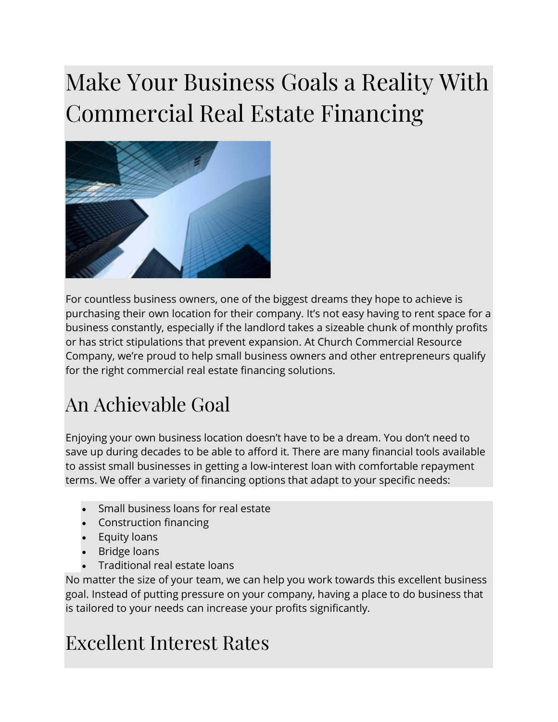## Make Your Business Goals a Reality With Commercial Real Estate Financing



For countless business owners, one of the biggest dreams they hope to achieve is purchasing their own location for their company. It's not easy having to rent space for a business constantly, especially if the landlord takes a sizeable chunk of monthly profits or has strict stipulations that prevent expansion. At Church Commercial Resource Company, we're proud to help small business owners and other entrepreneurs qualify for the right commercial real estate financing solutions.

## An Achievable Goal

Enjoying your own business location doesn't have to be a dream. You don't need to save up during decades to be able to afford it. There are many financial tools available to assist small businesses in getting a low-interest loan with comfortable repayment terms. We offer a variety of financing options that adapt to your specific needs:

- Small business loans for real estate
- Construction financing
- Equity loans
- Bridge loans
- Traditional real estate loans

No matter the size of your team, we can help you work towards this excellent business goal. Instead of putting pressure on your company, having a place to do business that is tailored to your needs can increase your profits significantly.

## Excellent Interest Rates